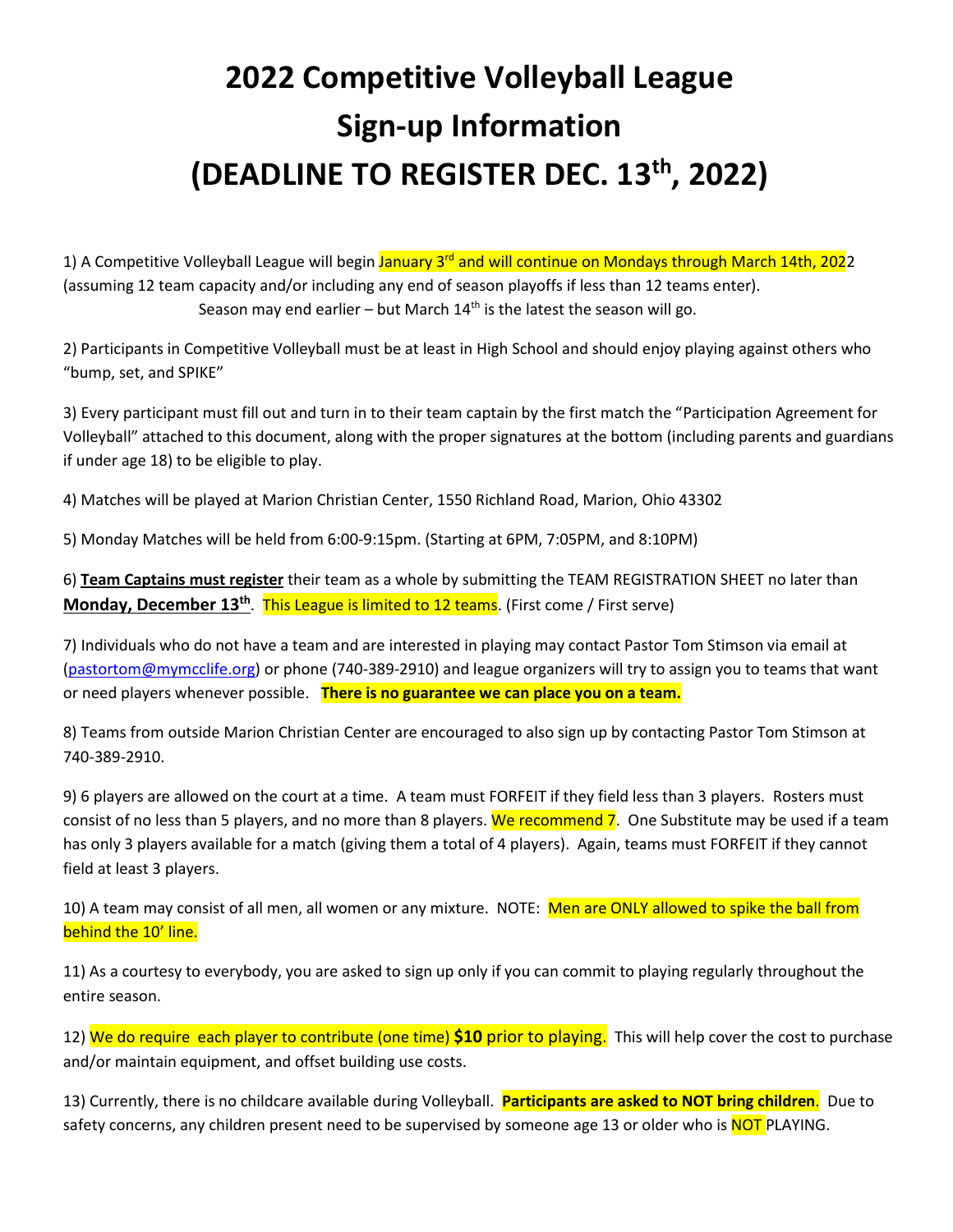# **2022 Competitive Volleyball League Sign-up Information (DEADLINE TO REGISTER DEC. 13th, 2022)**

1) A Competitive Volleyball League will begin <mark>January 3<sup>rd</sup> and will continue on Mondays through March 14th, 202</mark>2 (assuming 12 team capacity and/or including any end of season playoffs if less than 12 teams enter). Season may end earlier – but March  $14<sup>th</sup>$  is the latest the season will go.

2) Participants in Competitive Volleyball must be at least in High School and should enjoy playing against others who "bump, set, and SPIKE"

3) Every participant must fill out and turn in to their team captain by the first match the "Participation Agreement for Volleyball" attached to this document, along with the proper signatures at the bottom (including parents and guardians if under age 18) to be eligible to play.

4) Matches will be played at Marion Christian Center, 1550 Richland Road, Marion, Ohio 43302

5) Monday Matches will be held from 6:00-9:15pm. (Starting at 6PM, 7:05PM, and 8:10PM)

6) **Team Captains must register** their team as a whole by submitting the TEAM REGISTRATION SHEET no later than **Monday, December 13<sup>th</sup>. This League is limited to 12 teams.** (First come / First serve)

7) Individuals who do not have a team and are interested in playing may contact Pastor Tom Stimson via email at [\(pastortom@mymcclife.org\)](mailto:pastortom@mymcclife.org) or phone (740-389-2910) and league organizers will try to assign you to teams that want or need players whenever possible. **There is no guarantee we can place you on a team.**

8) Teams from outside Marion Christian Center are encouraged to also sign up by contacting Pastor Tom Stimson at 740-389-2910.

9) 6 players are allowed on the court at a time. A team must FORFEIT if they field less than 3 players. Rosters must consist of no less than 5 players, and no more than 8 players. We recommend 7. One Substitute may be used if a team has only 3 players available for a match (giving them a total of 4 players). Again, teams must FORFEIT if they cannot field at least 3 players.

10) A team may consist of all men, all women or any mixture. NOTE: Men are ONLY allowed to spike the ball from behind the 10' line.

11) As a courtesy to everybody, you are asked to sign up only if you can commit to playing regularly throughout the entire season.

12) We do require each player to contribute (one time) **\$10** prior to playing. This will help cover the cost to purchase and/or maintain equipment, and offset building use costs.

13) Currently, there is no childcare available during Volleyball. **Participants are asked to NOT bring children**. Due to safety concerns, any children present need to be supervised by someone age 13 or older who is NOT PLAYING.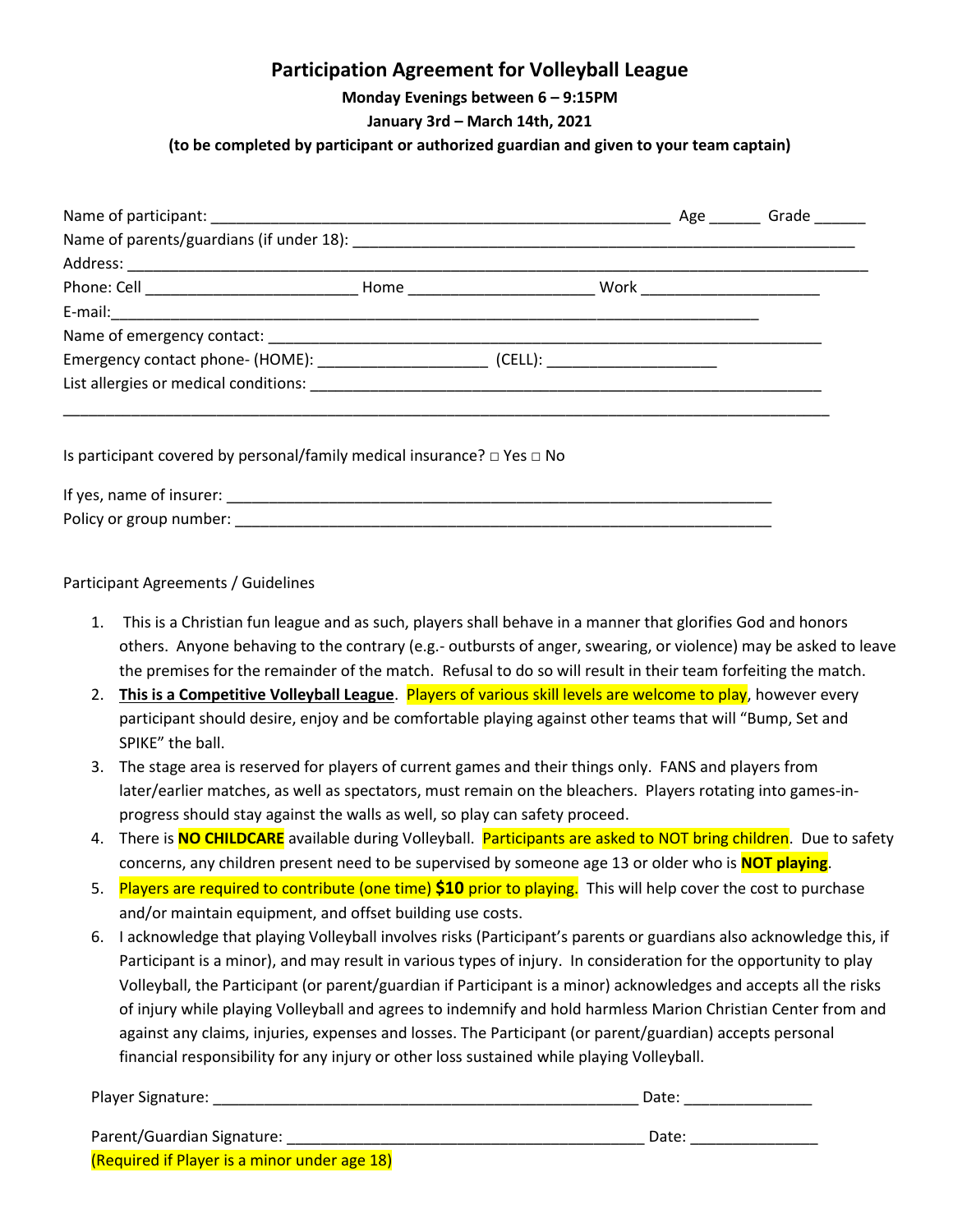## **Participation Agreement for Volleyball League**

**Monday Evenings between 6 – 9:15PM**

#### **January 3rd – March 14th, 2021**

#### **(to be completed by participant or authorized guardian and given to your team captain)**

|                                                                                   |  |  |  | Age Grade |  |  |  |  |
|-----------------------------------------------------------------------------------|--|--|--|-----------|--|--|--|--|
|                                                                                   |  |  |  |           |  |  |  |  |
|                                                                                   |  |  |  |           |  |  |  |  |
|                                                                                   |  |  |  |           |  |  |  |  |
|                                                                                   |  |  |  |           |  |  |  |  |
|                                                                                   |  |  |  |           |  |  |  |  |
|                                                                                   |  |  |  |           |  |  |  |  |
|                                                                                   |  |  |  |           |  |  |  |  |
|                                                                                   |  |  |  |           |  |  |  |  |
| Is participant covered by personal/family medical insurance? $\Box$ Yes $\Box$ No |  |  |  |           |  |  |  |  |
|                                                                                   |  |  |  |           |  |  |  |  |

Participant Agreements / Guidelines

Policy or group number: \_\_\_\_\_\_\_\_\_\_\_\_\_\_\_\_\_\_\_\_\_\_\_\_\_\_\_\_\_\_\_\_\_\_\_\_\_\_\_\_\_\_\_\_\_\_\_\_\_\_\_\_\_\_\_\_\_\_\_\_\_\_\_

- 1. This is a Christian fun league and as such, players shall behave in a manner that glorifies God and honors others. Anyone behaving to the contrary (e.g.- outbursts of anger, swearing, or violence) may be asked to leave the premises for the remainder of the match. Refusal to do so will result in their team forfeiting the match.
- 2. **This is a Competitive Volleyball League**. Players of various skill levels are welcome to play, however every participant should desire, enjoy and be comfortable playing against other teams that will "Bump, Set and SPIKE" the ball.
- 3. The stage area is reserved for players of current games and their things only. FANS and players from later/earlier matches, as well as spectators, must remain on the bleachers. Players rotating into games-inprogress should stay against the walls as well, so play can safety proceed.
- 4. There is **NO CHILDCARE** available during Volleyball. Participants are asked to NOT bring children. Due to safety concerns, any children present need to be supervised by someone age 13 or older who is **NOT playing**.
- 5. Players are required to contribute (one time) **\$10** prior to playing. This will help cover the cost to purchase and/or maintain equipment, and offset building use costs.
- 6. I acknowledge that playing Volleyball involves risks (Participant's parents or guardians also acknowledge this, if Participant is a minor), and may result in various types of injury. In consideration for the opportunity to play Volleyball, the Participant (or parent/guardian if Participant is a minor) acknowledges and accepts all the risks of injury while playing Volleyball and agrees to indemnify and hold harmless Marion Christian Center from and against any claims, injuries, expenses and losses. The Participant (or parent/guardian) accepts personal financial responsibility for any injury or other loss sustained while playing Volleyball.

| Player Signature: | Dale |
|-------------------|------|
|                   |      |